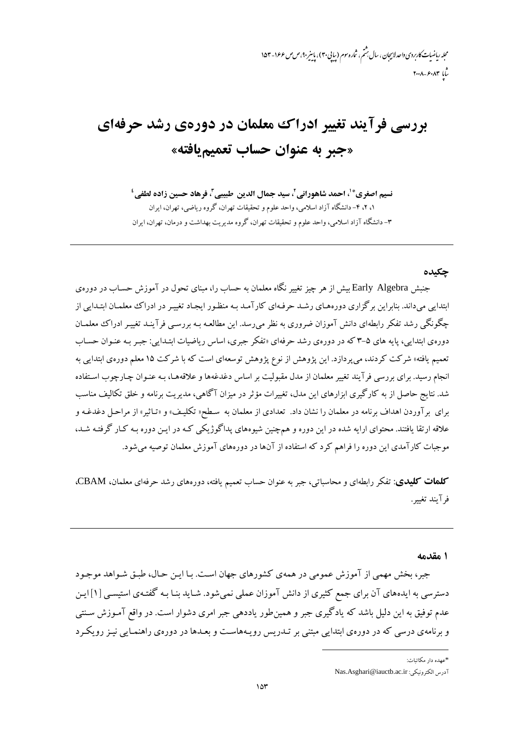محله رماضات کاربردی واحد لابیجان ، سال بهشم ، شاره سوم (سایی۳۰)، باسر ۴۰، ص ص ۱۶۶-۱۵۳  $r \cdot \lambda - \varepsilon \cdot \lambda r$ 

# بررسی فرآیند تغییر ادراک معلمان در دورهی رشد حرفهای «جبر به عنوان حساب تعميم يافته»

نسيم اصغري\*'، احمد شاهوراني'، سيد جمال الدين طبيبي"، فرهاد حسين زاده لطفي' ۰۱ ۲، ۴- دانشگاه آزاد اسلامی، واحد علوم و تحقیقات تهران، گروه ریاضی، تهران، ایران ۳- دانشگاه آزاد اسلامی، واحد علوم و تحقیقات تهران، گروه مدیریت بهداشت و درمان، تهران، ایران

#### حكىدە

جنبش Early Algebra بیش از هر چیز تغییر نگاه معلمان به حساب را، مبنای تحول در آموزش حسـاب در دورهی ابتدایی میداند. بنابراین برگزاری دورههای رشـد حرفـهای کارآمـد بـه منظـور ایجـاد تغییـر در ادراک معلمـان ابتـدایی از چگونگی رشد تفکر رابطهای دانش آموزان ضروری به نظر می رسد. این مطالعـه بـه بررسـی فرآینـد تغییـر ادراک معلمـان دورهی ابتدایی، پایه های ۵-۳ که در دورهی رشد حرفهای «تفکر جبری، اساس ریاضیات ابتـدایی: جبـر بـه عنـوان حسـاب تعمیم یافته» شرکت کردند، می پردازد. این پژوهش از نوع پژوهش توسعهای است که با شرکت ۱۵ معلم دورهی ابتدایی به انجام رسید. برای بررسی فرآیند تغییر معلمان از مدل مقبولیت بر اساس دغدغهها و علاقههـا، بـه عنـوان چـارچوب اسـتفاده شد. نتایج حاصل از به کارگیری ابزارهای این مدل، تغییرات مؤثر در میزان آگاهی، مدیریت برنامه و خلق تکالیف مناسب برای بر آوردن اهداف برنامه در معلمان را نشان داد. تعدادی از معلمان به سطح« تکلیف» و «تـاثیر» از مراحـل دغدغـه و علاقه ارتقا یافتند. محتوای ارایه شده در این دوره و همچنین شیوههای پداگوژیکی کـه در ایـن دوره بـه کـار گرفتـه شـد، موجبات کارآمدی این دوره را فراهم کرد که استفاده از آنها در دورههای آموزش معلمان توصیه میشود.

كلملات كليدى: تفكر رابطهاى و محاسباتى، جبر به عنوان حساب تعميم يافته، دورههاى رشد حرفهاى معلمان، CBAM، فر آيند تغيبر.

١ مقدمه

جبر، بخش مهمی از آموزش عمومی در همهی کشورهای جهان است. بـا ایـن حـال، طبـق شـواهد موجـود دسترسی به ایدههای آن برای جمع کثیری از دانش آموزان عملی نمی شود. شـاید بنـا بـه گفتـهی استیسـی [۱]ایـن عدم توفیق به این دلیل باشد که یادگیری جبر و همین طور یاددهی جبر امری دشوار است. در واقع آمـوزش سـنتی و برنامهی درسی که در دورهی ابتدایی مبتنی بر تـدریس رویـههاسـت و بعـدها در دورهی راهنمـایی نیـز رویکـرد

<sup>\*</sup>عهده دار مکاتیات:

آدرس الكترونيكي: Nas.Asghari@iauctb.ac.ir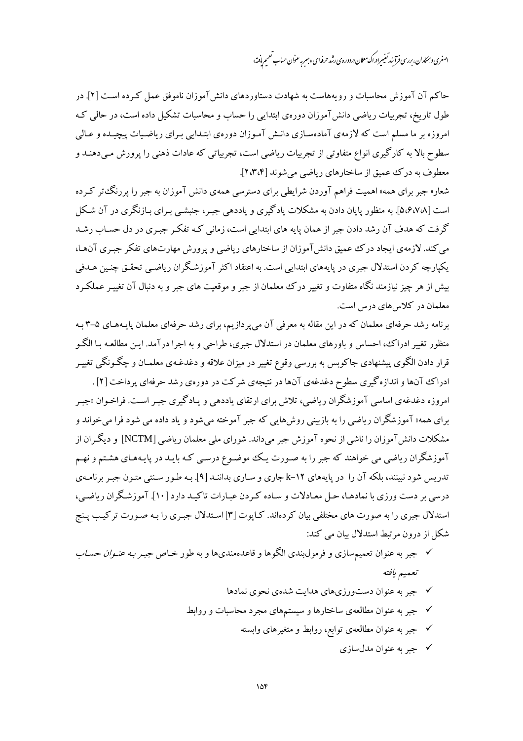اصغری و بمکاران، بررسی فرآ بند تغییر ادراک معلان د. دوره ی رشد حرفه ای «جسر ِ عنوان حساب تعمیم یافته»

حاکم آن آموزش محاسبات و رویههاست به شهادت دستاوردهای دانش آموزان ناموفق عمل که ده است [۲]. در طول تاریخ، تجربیات ریاضی دانشآموزان دورهی ابتدایی را حساب و محاسبات تشکیل داده است، در حال<sub>ی</sub> کـه امروزه بر ما مسلم است که لازمهی آمادهسـازی دانـش آمـوزان دورهی ابتـدایی بـرای ریاضـیات پیچیـده و عـالمی سطوح بالا به کارگیری انواع متفاوتی از تجربیات ریاضی است، تجربیاتی که عادات ذهنی را پرورش مـیدهنـد و معطوف به درک عمیق از ساختارهای ریاضی میشوند [۲،۳،۴].

شعار« جبر برای همه» اهمیت فراهم آوردن شرایطی برای دسترسی همهی دانش آموزان به جبر را پررنگءتر کـرده است [۵٬۶٬۷۸]. به منظور پایان دادن به مشکلات یادگیری و یاددهی جبـر، جنبشـی بـرای بـازنگری در آن شـکل گرفت که هدف آن رشد دادن جبر از همان پایه های ابتدایی است، زمانی کـه تفکـر جبـری در دل حسـاب رشـد می کند. لازمهی ایجاد درک عمیق دانش آموزان از ساختارهای ریاضی و پرورش مهارتهای تفکر جبری آنها، یکپارچه کردن استدلال جبری در پایههای ابتدایی است. به اعتقاد اکثر آموزشگران ریاضبی تحقـق چنـین هـدفی بیش از هر چیز نیازمند نگاه متفاوت و تغییر درک معلمان از جبر و موقعیت های جبر و به دنبال آن تغییـر عملکـرد معلمان در کلاس های درس است.

برنامه رشد حرفهای معلمان که در این مقاله به معرفی آن می پردازیم، برای رشد حرفهای معلمان پایـههـای ۵-۳ بـه منظور تغییر ادراک، احساس و باورهای معلمان در استدلال جبری، طراحی و به اجرا درآمد. ایـن مطالعـه بـا الگـو قرار دادن الگوی پیشنهادی جاکوبس به بررسی وقوع تغییر در میزان علاقه و دغدغـهی معلمـان و چگـونگی تغییـر

ادراک آنها و اندازه گیری سطوح دغدغهی آنها در نتیجهی شرکت در دورهی رشد حرفهای پرداخت [۲] . امروزه دغدغهی اساسی آموزشگران ریاضی، تلاش برای ارتقای یاددهی و پـادگیری جبـر اسـت. فراخـوان «جبـر برای همه» آموزشگران ریاضی را به بازبینی روش هایی که جبر آموخته می شود و یاد داده می شود فرا می خواند و مشکلات دانش آموزان را ناشی از نحوه آموزش جبر میداند. شورای ملی معلمان ریاضی [NCTM] و دیگران از آموزشگران ریاضی می خواهند که جبر را به صـورت یـک موضـوع درسـی کـه بایـد در پایـههـای هشـتم و نهـم تدریس شود نبینند، بلکه آن را در پایههای ۲-k-k جاری و سـاری بداننـد [۹]. بـه طـور سـنتی متـون جبـر برنامـهی درسی بر دست ورزی با نمادهـا، حـل معـادلات و سـاده كـردن عبـارات تاكيـد دارد [۱۰]. آموزشـگران رياضـي، استدلال جبری را به صورت های مختلفی بیان کردهاند. کـایوت [۳] اسـتدلال جبـری را بـه صـورت ترکیـب پـنج شکل از درون مرتبط استدلال بیان می کند:

- **∕ جبر به عنوان تعمیم**سازی و فرمولبندی الگوها و قاعدهمندیها و به طور خـاص ج*بـر بـه عنـوان حسـاب* تعميم يافته
	- √ جبر به عنوان دستورزيهاي هدايت شدهي نحوي نمادها
	- √ جبر به عنوان مطالعهى ساختارها و سیستمهاى مجرد محاسبات و روابط
		- √ جبر به عنوان مطالعهى توابع، روابط و متغيرهاى وابسته
			- √ جبر به عنوان مدلسازي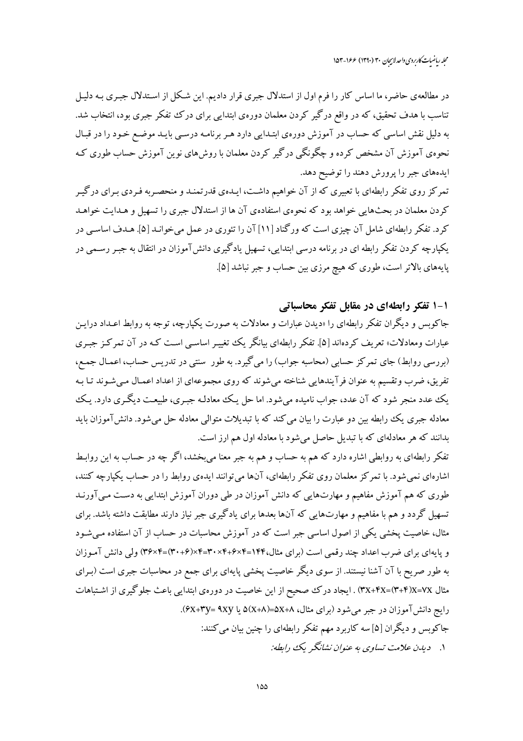در مطالعهی حاضر، ما اساس کار را فرم اول از استدلال جبری قرار دادیم. این شکل از استدلال جبـری بـه دلیـل .<br>تناسب با هدف تحقیق، که در واقع درگیر کردن معلمان دورهی ابتدایی برای درک تفکر جبری بود، انتخاب شد. به دلیل نقش اساسی که حساب در آموزش دورهی ابتـدایی دارد هـر برنامـه درسـی بایـد موضـع خـود را در قبـال نحوهی آموزش آن مشخص کرده و چگونگی درگیر کردن معلمان با روشهای نوین آموزش حساب طوری ک ایدههای جبر را پرورش دهند را توضیح دهد.

تمرکز روی تفکر رابطهای با تعبیری که از آن خواهیم داشت، ایـدهی قدرتمنـد و منحصـربه فـردی بـرای درگیـر کردن معلمان در بحثهایی خواهد بود که نحوهی استفادهی آن ها از استدلال جبری را تسهیل و هـدایت خواهـد کرد. تفکر رابطهای شامل آن چیزی است که ورگناد [۱۱] آن را تئوری در عمل می خوانـد [۵]. هـدف اساسـی در یکپارچه کردن تفکر رابطه ای در برنامه درسی ابتدایی، تسهیل یادگیری دانش آموزان در انتقال به جبـر رسـمی در پایههای بالاتر است، طوری که هیچ مرزی بین حساب و جبر نباشد [۵].

#### ۱-۱ تفکر رابطهای در مقابل تفکر محاسباتی

جاکوبس و دیگران تفکر رابطهای را «دیدن عبارات و معادلات به صورت یکپارچه، توجه به روابط اعـداد درایـن عبارات ومعادلات» تعریف کردهاند [۵]. تفکر رابطهای بیانگر یک تغییـر اساسـی اسـت کـه در آن تـمرکـز جبـری (بررسی روابط) جای تمرکز حسابی (محاسبه جواب) را می گیرد. به طور سنتی در تدریس حساب، اعمـال جمـع، تفریق، ضرب وتقسیم به عنوان فرآیندهایی شناخته میشوند که روی مجموعهای از اعداد اعمـال مـیشـوند تـا بـه یک عدد منجر شود که آن عدد، جواب نامیده میشود. اما حل یک معادلـه جبـری، طبیعـت دیگـری دارد. یـک معادله جبری یک رابطه بین دو عبارت را بیان می کند که با تبدیلات متوالی معادله حل می شود. دانش آموزان باید بدانند که هر معادلهای که با تبدیل حاصل میشود با معادله اول هم ارز است.

تفکر رابطهای به روابطی اشاره دارد که هم به حساب و هم به جبر معنا میبخشد، اگر چه در حساب به این روابـط اشارهای نمیشود. با تمرکز معلمان روی تفکر رابطهای، آنها میتوانند ایدهی روابط را در حساب یکپارچه کنند، طوری که هم آموزش مفاهیم و مهارتهایی که دانش آموزان در طی دوران آموزش ابتدایی به دست مـی آورنـد تسهیل گردد و هم با مفاهیم و مهارتهایی که آنها بعدها برای یادگیری جبر نیاز دارند مطابقت داشته باشد. برای مثال، خاصیت پخشی یکی از اصول اساسی جبر است که در آموزش محاسبات در حساب از آن استفاده می شـود و پایهای برای ضرب اعداد چند رقمی است (برای مثال،۱۴۴=۲×۴+۴×۳+۳×۴=۳×۳+۳)=۳۴×۳) ولی دانش آمـوزان به طور صریح با آن آشنا نیستند. از سوی دیگر خاصیت پخشی پایهای برای جمع در محاسبات جبری است (بـرای مثال XX=YX)(۳+۴)X=۷X) . ایجاد درک صحیح از این خاصیت در دورهی ابتدایی باعث جلوگیری از اشـتباهات رایج دانش آموزان در جبر میشود (برای مثال، ۵X+۸=۵(x+۸) یا ۴x+۳y= ۹xy. جاکوبس و دیگران [۵] سه کاربرد مهم تفکر رابطهای را چنین بیان می کنند: ۱. \_ دبدن علامت تساوي به عنوان نشانگر يک رابطه: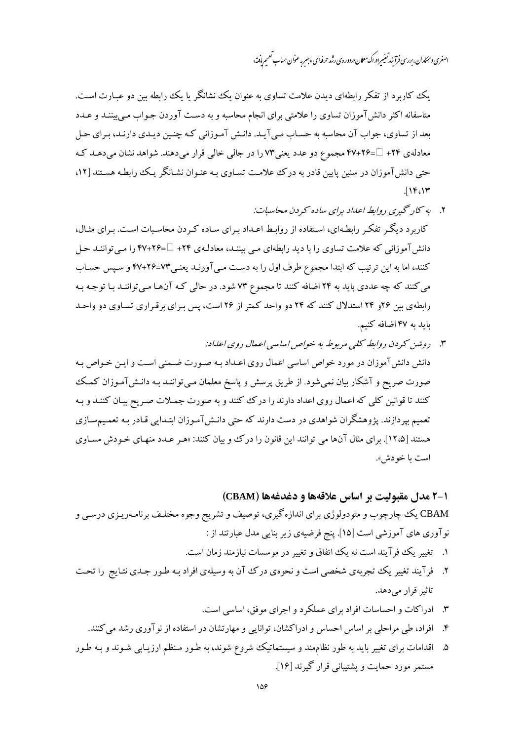اصغری و بمکاران، بررسی فرآیند تغییراد.اک معلان د. دوره ی رشد حرفه ای «جسر ِ عنوان حساب تعمیم یافته»

یک کاربرد از تفکر رابطهای دیدن علامت تساوی به عنوان یک نشانگر یا یک رابطه بین دو عبارت است. متاسفانه اکثر دانش آموزان تساوی را علامتی برای انجام محاسبه و به دست آوردن جـواب مـی بیننـد و عـدد بعد از تساوی، جواب آن محاسبه به حسـاب مـي آيـد. دانـش آمـوزاني كـه چنـين ديـدي دارنـد، بـراي حـل معادلهي ۲۴+ = ۴۷+۴۷ مجموع دو عدد يعني٣٧ را در جالي خالي قرار ميدهند. شواهد نشان ميدهـد كـه حتی دانش آموزان در سنین پایین قادر به درک علامت تسـاوی بـه عنـوان نشـانگر یـک رابطـه هسـتند [۱۲،  $\iota$ 

- ۲. به کار گیری روابط اعداد برای ساده کردن محاسبات: کاربرد دیگر تفکر رابطهای، استفاده از روابط اعـداد بـرای سـاده کـردن محاسـبات اسـت. بـرای مثـال، دانش آموزانی که علامت تساوی را با دید رابطهای می بیننـد، معادلـهی ۲۴+ =۲۶+۴۷ را مـی تواننـد حـل کنند، اما به این ترتیب که ابتدا مجموع طرف اول را به دست مبی آورنـد یعنـی٧٣=٢۶+۴۷ و سـیس حسـاب می کنند که چه عددی باید به ۲۴ اضافه کنند تا مجموع ۷۳ شود. در حالی کـه آنهـا مـیتواننـد بـا توجـه بـه رابطهی بین ۲۶و ۲۴ استدلال کنند که ۲۴ دو واحد کمتر از ۲۶ است، پس برای برقراری تساوی دو واحـد بايد به ۴۷ اضافه كنيم.
- ۳. روشن کردن روابط کلبی مربوط به خواص اساسی اعمال روی اعداد: دانش دانش آموزان در مورد خواص اساسی اعمال روی اعـداد بـه صـورت ضـمنی اسـت و ايـن خـواص بـه صورت صریح و آشکار بیان نمی شود. از طریق پرسش و پاسخ معلمان می تواننـد بـه دانـش(آمـوزان کمـک کنند تا قوانین کلی که اعمال روی اعداد دارند را درک کنند و به صورت جمـلات صـریح بیـان کننـد و بـه تعمیم بیردازند. یژوهشگران شواهدی در دست دارند که حتی دانـش آمـوزان ابتـدایی قـادر بـه تعمـیمسـازی هستند [۱۲،۵]. برای مثال آنها می توانند این قانون را در ک وو بیان کنند: «هـر عـدد منهـای خـودش مسـاوی است يا خودش».

## 1-٢ مدل مقبوليت بر اساس علاقهها و دغدغهها (CBAM)

CBAM یک چارچوب و متودولوژی برای اندازهگیری، توصیف و تشریح وجوه مختلـف برنامـهریـزی درسـی و نوآوری های آموزشی است [۱۵]. پنج فرضیهی زیر بنایی مدل عبارتند از :

- ۱. تغییر یک فرآیند است نه یک اتفاق و تغییر در موسسات نیازمند زمان است.
- ۲. فرآیند تغییر یک تجربهی شخصی است و نحوهی درک آن به وسیلهی افراد بـه طـور جـدی نتـایج را تحـت تاثیر قرار میدهد.
	- ۳. ادراکات و احساسات افراد برای عملکرد و اجرای موفق، اساسی است.
	- ۴. افراد، طی مراحلی بر اساس احساس و ادراکشان، توانایی و مهارتشان در استفاده از نوآوری رشد می کنند.
- ۵. اقدامات برای تغییر باید به طور نظامهند و سیستماتیک شروع شوند، به طـور مـنظم ارزیـابی شـوند و بـه طـور مستمر مورد حمایت و پشتبیانی قرار گیرند [۱۶].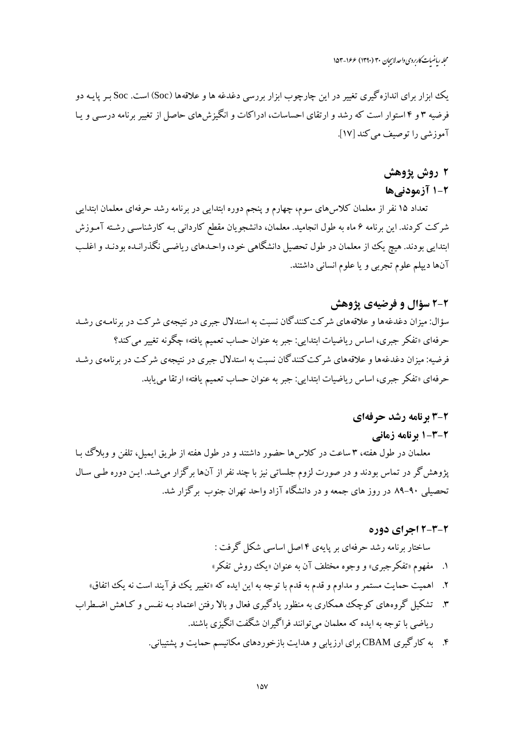یک ایزار برای اندازه گیری تغییر در این چارچوب ایزار بررسی دغدغه ها و علاقهها (Soc) است. Soc بر پاییه دو فرضیه ۳ و ۴ استوار است که رشد و ارتقای احساسات، ادراکات و انگیزش های حاصل از تغییر برنامه درسبی و پیا آموزشی را توصیف می کند [۱۷].

## ۲ روش یژوهش

### ۲-۱ آزمودنیها

تعداد ۱۵ نفر از معلمان کلاس۵ای سوم، چهارم و پنجم دوره ابتدایی در برنامه رشد حرفهای معلمان ابتدایی شرکت کردند. این برنامه ۶ ماه به طول انجامید. معلمان، دانشجویان مقطع کاردانی بـه کارشناسـی رشـته آمـوزش ابتدایی بودند. هیچ یک از معلمان در طول تحصیل دانشگاهی خود، واحـدهای ریاضـی نگذرانـده بودنـد و اغلـب آنها ديپلم علوم تجربي و يا علوم انساني داشتند.

#### ۲-۲ سؤال و فرضیهی پژوهش

سؤال: میزان دغدغهها و علاقههای شرکت کنندگان نسبت به استدلال جبری در نتیجهی شرکت در برنامـهی رشـد حرفهاي «تفكر جبري، اساس رياضيات ابتدايي: جبر به عنوان حساب تعميم يافته» چگونه تغيير مي كند؟ فرضیه: میزان دغدغهها و علاقههای شرکت کنندگان نسبت به استدلال جبری در نتیجهی شرکت در برنامهی رشد حرفهاي «تفكر جبري، اساس رياضيات ابتدايبي: جبر به عنوان حساب تعميم يافته» ارتقا مي يابد.

#### 2-3 برنامه رشد حرفهای

#### 2-3-1 برنامه زمانی

معلمان در طول هفته، ۳ ساعت در کلاس۵ ا حضور داشتند و در طول هفته از طریق ایمیل، تلفن و وبلاگ بـا پژوهش گر در تماس بودند و در صورت لزوم جلساتی نیز با چند نفر از آنها برگزار میشـد. ایـن دوره طـی سـال تحصیلی ۹۰-۸۹ در روز های جمعه و در دانشگاه آزاد واحد تهران جنوب برگزار شد.

#### 2-3-2 اجرای دوره

## ساختار برنامه رشد حرفهای بر پایهی ۴ اصل اساسی شکل گرفت : ۱. مفهوم «تفكر جبري» و وجوه مختلف آن به عنوان «يك روش تفكر»

- ۲. اهمیت حمایت مستمر و مداوم و قدم به قدم با توجه به این ایده که «تغییر یک فرآیند است نه یک اتفاق»
- ۳. تشکیل گروههای کوچک همکاری به منظور یادگیری فعال و بالا رفتن اعتماد بـه نفـس و کـاهش اضـطراب رياضي با توجه به ايده كه معلمان مي توانند فراگيران شگفت انگيزي باشند.
	- ۴. به کارگیری CBAM برای ارزیابی و هدایت بازخوردهای مکانیسم حمایت و پشتیبانی.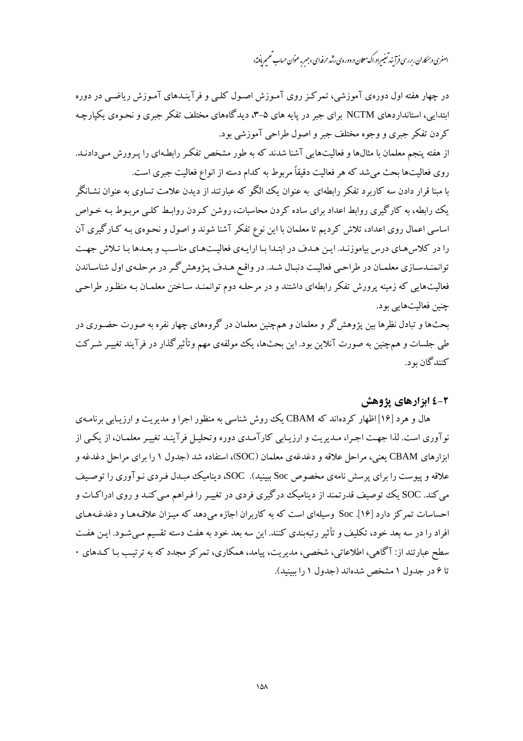اصغری و بمکاران، بررسی فرآ بند تغییر ادراک معلان د. دوره ی رشد حرفه ای «جسر ِ عنوان حساب تعمیم یافته»

در چهار هفته اول دورهی آموزشی، تمرکـز روی آمـوزش اصـول کلـی و فرآینـدهای آمـوزش ریاضـی در دوره ابتدایی، استانداردهای NCTM برای جبر در پایه های ۵–۳، دیدگاههای مختلف تفکر جبری و نحبوهی یکپارچه کردن تفکر جبری و وجوه مختلف جبر و اصول طراحی آموزشی بود.

از هفته پنجم معلمان با مثالها و فعالیتهایی آشنا شدند که به طور مشخص تفکر رابطـهای را پـرورش مـی دادنـد. روی فعالیتها بحث میشد که هر فعالیت دقیقاً مربوط به کدام دسته از انواع فعالیت جبری است.

با مبنا قرار دادن سه کاربرد تفکر رابطهای به عنوان یک الگو که عبارتند از دیدن علامت تساوی به عنوان نشـانگر یک رابطه، به کارگیری روابط اعداد برای ساده کردن محاسبات، روشن کـردن روابـط کلـی مربـوط بـه خـواص اساسی اعمال روی اعداد، تلاش کردیم تا معلمان با این نوع تفکر آشنا شوند و اصول و نحـوهی بـه کـارگیری آن را در کلاس هـاي درس بياموزنـد. ايـن هـدف در ابتـدا بـا ارايـهي فعاليـتهـاي مناسـب و بعـدها بـا تـلاش جهـت توانمنـدسـازي معلمـان در طراحـي فعاليـت دنبـال شـد. در واقـع هـدف پـژوهش گـر در مرحلـهي اول شناسـاندن فعالیتهایی که زمینه پرورش تفکر رابطهای داشتند و در مرحلـه دوم توانمنـد سـاختن معلمـان بـه منظـور طراحـی چنین فعالیتهایی بود.

بحثها و تبادل نظرها بین پژوهش گر و معلمان و همچنین معلمان در گروههای چهار نفره به صورت حضـوری در طی جلسات و همچنین به صورت آنلاین بود. این بحثها، یک مولفهی مهم وتأثیرگذار در فرآیند تغییـر شـرکت کنندگان بو د.

### ۲-٤ ابزارهای پژوهش

هال و هرد [۱۶] اظهار کردهاند که CBAM یک روش شناسی به منظور اجرا و مدیریت و ارزیبایی برنامیهی نوآوري است. لذا جهت اجـرا، مـديريت و ارزيـابي كارآمـدي دوره وتحليـل فرآينـد تغييـر معلمـان، از يكـي از ابزارهای CBAM یعنی، مراحل علاقه و دغدغهی معلمان (SOC)، استفاده شد (جدول ۱ را برای مراحل دغدغه و علاقه و پیوست را برای پرسش نامهی مخصوص Soc ببینید). SOC، دینامیک مبـدل فـردی نـو آوری را توصـیف می کند. SOC یک توصیف قدرتمند از دینامیک درگیری فردی در تغییر را فـراهم مـی کنـد و روی ادراکـات و احساسات تمرکز دارد [۱۶]. Soc وسیلهای است که به کاربران اجازه می دهد که میـزان علاقـههـا و دغدغـههـای افراد را در سه بعد خود، تکلیف و تأثیر رتبهبندی کنند. این سه بعد خود به هفت دسته تقسیم مـیشـود. ایـن هفـت سطح عبارتند از: آگاهی، اطلاعاتی، شخصی، مدیریت، پیامد، همکاری، تمرکز مجدد که به ترتیب بـا کـدهای ۰ تا ۶ در جدول ۱ مشخص شدهاند (جدول ۱ را ببینید).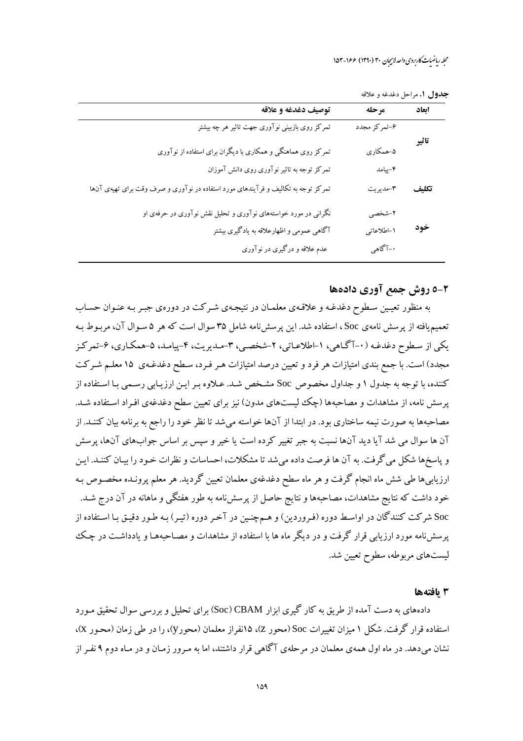حدول إ. مراحل دغدغه و علاقه

| توصيف دغدغه و علاقه                                                               | مرحله        | ابعاد |
|-----------------------------------------------------------------------------------|--------------|-------|
| تمرکز روی بازبینی نوآوری جهت تاثیر هر چه بیشتر                                    | ۶-تمركز مجدد |       |
| تمرکز روی هماهنگی و همکاری با دیگران برای استفاده از نوآوری                       | ۵–همکاري     | تاثير |
| تمرکز توجه به تاثیر نوآوری روی دانش آموزان                                        | ۴–پیامد      |       |
| تمرکز توجه به تکالیف و فرآیندهای مورد استفاده در نوآوری و صرف وقت برای تهیهی آنها | ۳-مديريت     | تكليف |
| نگرانی در مورد خواستههای نوآوری و تحلیل نقش نوآوری در حرفهی او                    | ۲-شخصی       |       |
| آگاهی عمومی و اظهارعلاقه به یادگیری بیشتر                                         | ١-اطلاعاتي   | خود   |
| عدم علاقه و درگیری در نوآوری                                                      | ۰–آگاهي      |       |

#### 2-0 روش جمع آوري دادهها

به منظور تعیین سطوح دغدغـه و علاقـهي معلمـان در نتیجـهي شـرکت در دورهي جبـر بـه عنـوان حسـاب تعمیم یافته از پرسش نامهی Soc ، استفاده شد. این پرسش نامه شامل ۳۵ سوال است که هر ۵ سـوال آن، مربـوط بـه یکی از سطوح دغدغـه (۰-آگـاهی، ۱-اطلاعـاتی، ۲-شخصـی، ۳-مـدیریت، ۴-پیامـد، ۵-همکـاری، ۶-تمرکـز مجدد) است. با جمع بندی امتیازات هر فرد و تعیین درصد امتیازات هـر فـرد، سـطح دغدغـهی ۱۵ معلـم شـرکت کننده، با توجه به جدول ۱ و جداول مخصوص Soc مشخص شـد. عـلاوه بـر ايـن ارزيـابي رسـمي بـا اسـتفاده از پرسش نامه، از مشاهدات و مصاحبهها (چک لیستهای مدون) نیز برای تعیین سطح دغدغهی افـراد اسـتفاده شـد. مصاحبهها به صورت نیمه ساختاری بود. در ابتدا از آنها خواسته میشد تا نظر خود را راجع به برنامه بیان کننـد. از آن ها سوال می شد آیا دید آنها نسبت به جبر تغییر کرده است یا خیر و سپس بر اساس جوابهای آنها، پرسش و پاسخها شکل می گرفت. به آن ها فرصت داده میشد تا مشکلات، احساسات و نظرات خـود را بیـان کننـد. ایـن ارزیابیها طی شش ماه انجام گرفت و هر ماه سطح دغدغهی معلمان تعیین گردید. هر معلم پرونـده مخصـوص بـه خود داشت که نتایج مشاهدات، مصاحبهها و نتایج حاصل از پرسشiامه به طور هفتگی و ماهانه در آن درج شـد. Soc شرکت کنندگان در اواسط دوره (فـروردین) و هـمچنـین در آخـر دوره (تیـر) بـه طـور دقیـق بـا اسـتفاده از یرسشنامه مورد ارزیابی قرار گرفت و در دیگر ماه ها با استفاده از مشاهدات و مصـاحبههـا و یادداشـت در چـک ليستهاي مربوطه، سطوح تعيين شد.

#### 3 يافتهها

دادههای به دست آمده از طریق به کار گیری ابزار Soc) CBAM) برای تحلیل و بررسی سوال تحقیق مـورد استفاده قرار گرفت. شکل ۱ میزان تغییرات Soc (محور Z)، ۱۵نفراز معلمان (محورy)، را در طی زمان (محـور X)، نشان میدهد. در ماه اول همهی معلمان در مرحلهی آگاهی قرار داشتند، اما به مـرور زمـان و در مـاه دوم ۹ نفـر از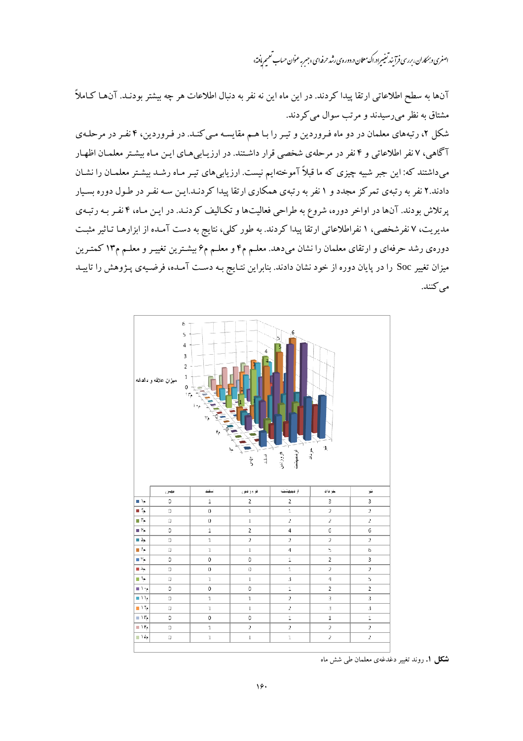اصغری *و ہمکار*ان، بررسی فرآ بند تعییر ادراک معلان در دورہ ی رشد حرفہ ای «جسرِ عنوان حساب تعمیم یافته»

آنها به سطح اطلاعاتی ارتقا پیدا کردند. در این ماه این نه نفر به دنبال اطلاعات هر چه بیشتر بودنـد. آنهـا کـاملاً مشتاق به نظر می رسیدند و مرتب سوال می کردند.

شکل ۲، رتبههای معلمان در دو ماه فروردین و تیر را با هـم مقایسـه مـی کنـد. در فـروردین، ۴ نفـر در مرحلـهی آگاهی، ۷ نفر اطلاعاتی و ۴ نفر در مرحلهی شخصی قرار داشتند. در ارزیـابی۵لـای ایـن مـاه بیشـتر معلمـان اظهـار میداشتند که: این جبر شبیه چیزی که ما قبلاً آموختهایم نیست. ارزیابی های تیـر مـاه رشـد بیشـتر معلمـان را نشـان دادند.۲ نفر به رتبهی تمرکز مجدد و ۱ نفر به رتبهی همکاری ارتقا پیدا کردنـد.ایـن سـه نفـر در طـول دوره بسـیار پرتلاش بودند. آنها در اواخر دوره، شروع به طراحی فعالیتها و تکـالیف کردنـد. در ایـن مـاه، ۴ نفـر بـه رتبـهی مدیریت، ۷ نفرشخصی، ۱ نفراطلاعاتی ارتقا پیدا کردند. به طور کلی، نتایج به دست آمـده از ابزارهـا تـاثیر مثبـت دورهی رشد حرفهای و ارتقای معلمان را نشان میدهد. معلـم م۴ و معلـم م۶ بیشـترین تغییـر و معلـم م۱۳ کمتـرین میزان تغییر Soc را در پایان دوره از خود نشان دادند. بنابراین نتـایج بـه دسـت آمـده، فرضـیهی پـژوهش را تاییـد می کنند.



شکل ۱. روند تغییر دغدغهی معلمان طی شش ماه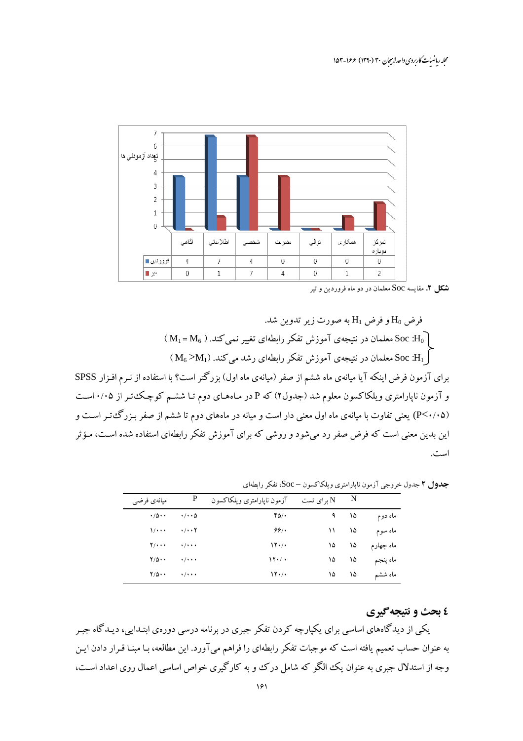

#### **شکل ۲.** مقایسه Soc معلمان در دو ماه فروردین و تیر

فرض  $\rm H_{0}$  و فرض  $\rm H_{1}$  به صورت زیر تدوین شد. ( M<sub>1</sub> = M<sub>6</sub> ). معلمان در نتیجهی آموزش تفکر رابطهای تغییر نمی کند. ( M<sub>1</sub> = M<sub>6</sub>  $\sim \mathrm{M}_6 > \mathrm{M}_1$ ) معلمان در نتیجه $_\odot$  آموزش تفکر رابطهای رشد می کند. ( $\mathrm{M}_6 > \mathrm{M}_1$ برای آزمون فرض اینکه آیا میانهی ماه ششم از صفر (میانهی ماه اول) بزرگتر است؟ با استفاده از نـرم افـزار SPSS و آزمون ناپارامتری ویلکاکسون معلوم شد (جدول۲) که P در مـاههـای دوم تـا ششـم کوچـک تـر از ۰/۰۵اسـت (P<۰/۰۵) یعنی تفاوت با میانهی ماه اول معنی دار است و میانه در ماههای دوم تا ششم از صفر بـزرگءتـر اسـت و این بدین معنی است که فرض صفر رد می شود و روشی که برای آموزش تفکر رابطهای استفاده شده است، مـؤثر است.

جدول ۲ جدول خروجي آزمون نايارامتري ويلكاكسون – Soc، تفكر رابطهاي

| میانهی فرضی                | P                               | برای تست $\quad$ آزمون ناپارامتری ویلکاکسون N $\,$ $\,$ $\,$ |          |           |                 |
|----------------------------|---------------------------------|--------------------------------------------------------------|----------|-----------|-----------------|
| $\cdot/\Delta \cdot \cdot$ | $\cdot$ / $\cdot$ 6             | ۴۵/۰                                                         |          | $9 \t 10$ | ماه دوم         |
| 1/                         | $\cdots$                        | 99/                                                          |          | $11$ $10$ | ماه سوم         |
| $Y/\cdots$                 | $\cdot$ $\cdot$ $\cdot$ $\cdot$ | $\gamma$                                                     |          |           | ماه چهارم ۱۵ ۱۵ |
| $Y/\Delta \cdot \cdot$     | $\cdot$ / $\cdot$ + $\cdot$     | $\mathcal{N} \cdot / \cdot$                                  | $\delta$ | ۱۵        | ماه پنجم        |
| $Y/\Delta \cdot \cdot$     | $\cdots$                        | $\mathcal{N} \cdot / \cdot$                                  | $\delta$ | ۱۵        | ماه ششم         |

#### ٤ بحث و نتيجه گيري

یکمی از دیدگاههای اساسی برای یکپارچه کردن تفکر جبری در برنامه درسی دورهی ابتـدایی، دیـدگاه جبـر به عنوان حساب تعمیم یافته است که موجبات تفکر رابطهای را فراهم میآورد. این مطالعه، بـا مبنـا قـرار دادن ایـن وجه از استدلال جبری به عنوان یک الگو که شامل درک و به کارگیری خواص اساسی اعمال روی اعداد است،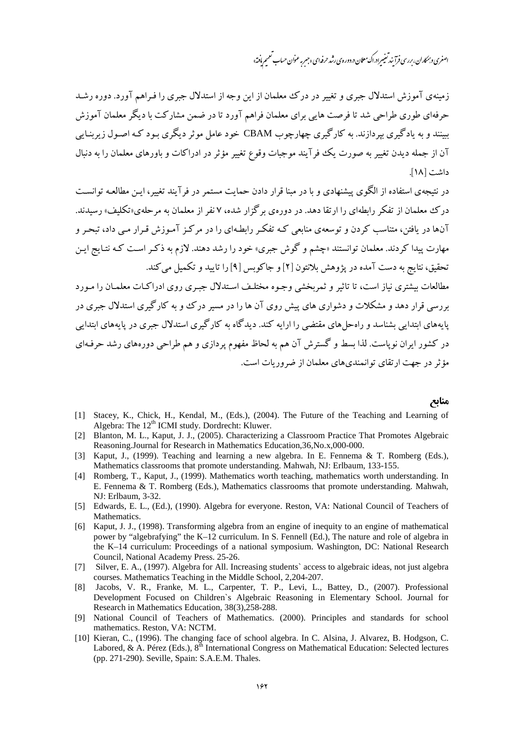## اصغری و بمکاران، بررسی فرآ نند تغییراد.اک معلان د. دوره ی رشد حرفه ای «جسر به عنوان حساب تعمیم یافته»

زمینهی آموزش استدلال جبری و تغییر در درک معلمان از این وجه از استدلال جبری را فیراهم آورد. دوره رشد حرفهای طوری طراحی شد تا فرصت هایی برای معلمان فراهم آورد تا در ضمن مشارکت با دیگر معلمان آموزش سنند و په بادگېري پيړ دازند. په کارگېري چهارچوب CBAM خود عامل موثر ديگري پود کـه اصـول زيږينـايي آن از جمله دیدن تغییر به صورت یک فرآیند موجبات وقوع تغییر مؤثر در ادراکات و باورهای معلمان را به دنبال داشت [۱۸].

در نتیجهی استفاده از الگوی پیشنهادی و با در مینا قرار دادن جمایت مستمر در فرآیند تغییر، این مطالعیه توانست درک معلمان از تفکر رابطهای را ارتقا دهد. در دورهی برگزار شده، ۷ نفر از معلمان به مرحلهی«تکلیف» رسیدند. آنها در یافتن، متناسب کردن و توسعهی منابعی کـه تفکـر رابطـهای را در مرکـز آمـوزش قـرار مـی داد، تبحـر و مهارت پیدا کردند. معلمان توانستند «چشم و گوش جبری» خود را رشد دهند. لازم به ذکر است کـه نتـایج ایـن تحقیق، نتایج به دست آمده در پژوهش بلانتون [۲] و جاکوبس [۹] را تایید و تکمیل می کند. مطالعات بیشتری نیاز است، تا تاثیر و ثمریخشی وجبوه مختلیف استدلال جسری روی ادراکیات معلمیان را مبورد

بررسی قرار دهد و مشکلات و دشواری های پیش روی آن ها را در مسیر در ک و به کار گیری استدلال جیری در یابههای ابتدایی بشناسد و راه حل های مقتضی را ارایه کند. دیدگاه به کارگیری استدلال جبری در پایههای ابتدایی در کشور ایران نویاست. لذا بسط و گسترش آن هم به لحاظ مفهوم پردازی و هم طراحی دورههای رشد حرفـهای مؤ ثر در جهت از تقای توانمندی های معلمان از ضرور بات است.

#### منابع

- Stacey, K., Chick, H., Kendal, M., (Eds.), (2004). The Future of the Teaching and Learning of  $[1]$ Algebra: The 12<sup>th</sup> ICMI study. Dordrecht: Kluwer.
- Blanton, M. L., Kaput, J. J., (2005). Characterizing a Classroom Practice That Promotes Algebraic  $\lceil 2 \rceil$ Reasoning.Journal for Research in Mathematics Education, 36, No.x, 000-000.
- Kaput, J., (1999). Teaching and learning a new algebra. In E. Fennema & T. Romberg (Eds.),  $\left[3\right]$ Mathematics classrooms that promote understanding. Mahwah, NJ: Erlbaum, 133-155.
- [4] Romberg, T., Kaput, J., (1999). Mathematics worth teaching, mathematics worth understanding. In E. Fennema & T. Romberg (Eds.), Mathematics classrooms that promote understanding. Mahwah, NJ: Erlbaum, 3-32.
- [5] Edwards, E. L., (Ed.), (1990). Algebra for everyone. Reston, VA: National Council of Teachers of Mathematics.
- [6] Kaput, J. J., (1998). Transforming algebra from an engine of inequity to an engine of mathematical power by "algebrafying" the K-12 curriculum. In S. Fennell (Ed.), The nature and role of algebra in the K-14 curriculum: Proceedings of a national symposium. Washington, DC: National Research Council, National Academy Press. 25-26.
- [7] Silver, E. A., (1997). Algebra for All. Increasing students' access to algebraic ideas, not just algebra courses. Mathematics Teaching in the Middle School, 2,204-207.
- Jacobs, V. R., Franke, M. L., Carpenter, T. P., Levi, L., Battey, D., (2007). Professional  $\lceil 8 \rceil$ Development Focused on Children's Algebraic Reasoning in Elementary School. Journal for Research in Mathematics Education, 38(3), 258-288.
- [9] National Council of Teachers of Mathematics. (2000). Principles and standards for school mathematics. Reston, VA: NCTM.
- [10] Kieran, C., (1996). The changing face of school algebra. In C. Alsina, J. Alvarez, B. Hodgson, C. Labored, & A. Pérez (Eds.),  $8^{th}$  International Congress on Mathematical Education: Selected lectures (pp. 271-290). Seville, Spain: S.A.E.M. Thales.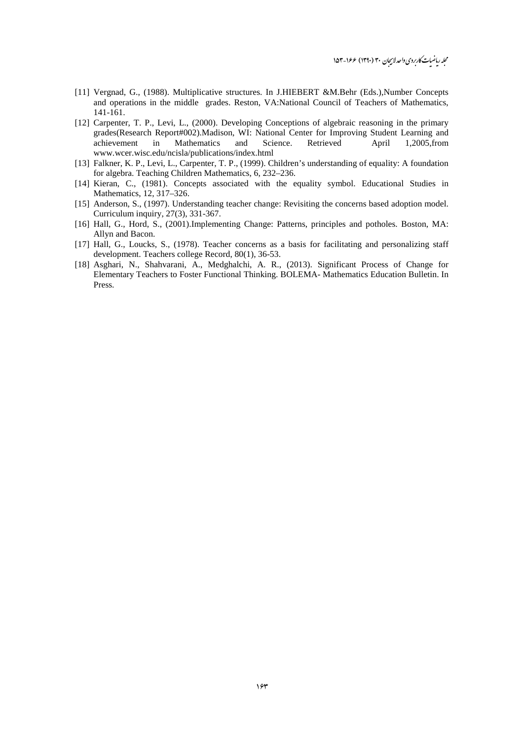- [11] Vergnad, G., (1988). Multiplicative structures. In J.HIEBERT &M.Behr (Eds.),Number Concepts and operations in the middle grades. Reston, VA:National Council of Teachers of Mathematics, 141-161.
- [12] Carpenter, T. P., Levi, L., (2000). Developing Conceptions of algebraic reasoning in the primary grades(Research Report#002).Madison, WI: National Center for Improving Student Learning and achievement in Mathematics and Science. Retrieved April 1,2005,from www.wcer.wisc.edu/ncisla/publications/index.html
- [13] Falkner, K. P., Levi, L., Carpenter, T. P., (1999). Children's understanding of equality: A foundation for algebra. Teaching Children Mathematics, 6, 232–236.
- [14] Kieran, C., (1981). Concepts associated with the equality symbol. Educational Studies in Mathematics, 12, 317–326.
- [15] Anderson, S., (1997). Understanding teacher change: Revisiting the concerns based adoption model. Curriculum inquiry, 27(3), 331-367.
- [16] Hall, G., Hord, S., (2001).Implementing Change: Patterns, principles and potholes. Boston, MA: Allyn and Bacon.
- [17] Hall, G., Loucks, S., (1978). Teacher concerns as a basis for facilitating and personalizing staff development. Teachers college Record, 80(1), 36-53.
- [18] Asghari, N., Shahvarani, A., Medghalchi, A. R., (2013). Significant Process of Change for Elementary Teachers to Foster Functional Thinking. BOLEMA- Mathematics Education Bulletin. In Press.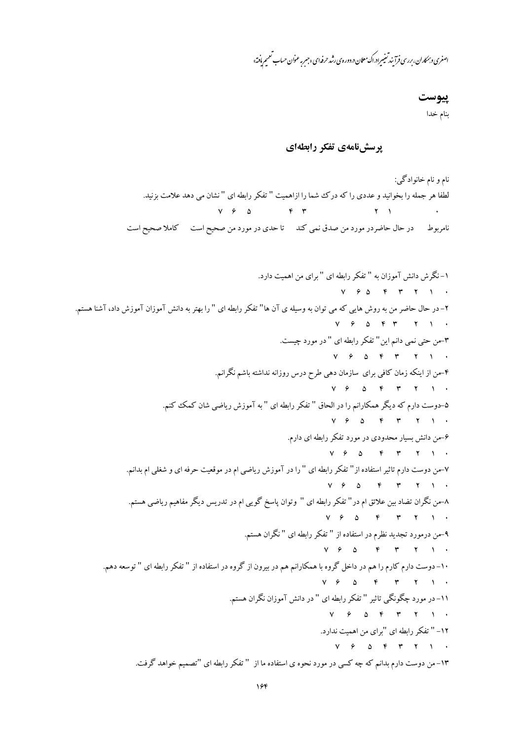اصغری و بمکاران، بررسی فرآیند تغییرادراک معلان در دوره ی رشد حرفه ای«جس<sub>ب</sub>ر عنوان حساب تعمیم یافته»

#### پيوست

بنام خدا

## پرسشنامهی تفکر رابطهای

نام و نام خانوادگی: لطفا هر جمله را بخوانید و عددی را که درک شما را ازاهمیت " تفکر رابطه ای " نشان می دهد علامت بزنید.  $V \quad \varphi \quad \Delta \qquad \qquad \mathfrak{f} \quad \mathfrak{f}$  $Y \cup Y$ .<br>نامربوط در حال حاضردر مورد من صدق نمی کند تا حدی در مورد من صحیح است کاملا صحیح است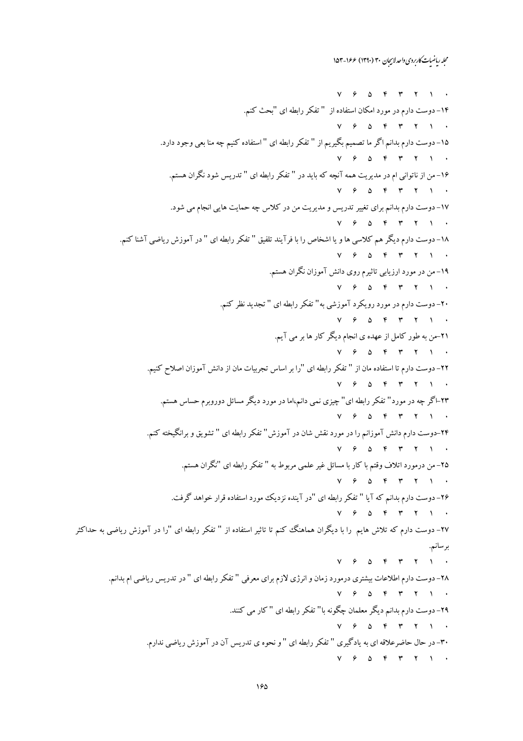$Y$   $9$   $0$   $9$   $1$   $1$   $1$ ۱۴- دوست دارم در مورد امکان استفاده از " تفکر رابطه ای "بحث کنم.  $V \quad \, \mathcal{P} \quad \, \Delta \quad \, \mathcal{P} \quad \, \mathcal{P} \qquad \, \mathcal{V} \qquad \, V \qquad \, V \qquad \, .$ ۱۵– دوست دارم بدانم اگر ما تصمیم بگیریم از " تفکر رابطه ای " استفاده کنیم چه منا بعی وجود دارد.  $Y$   $9$   $0$   $9$   $9$   $1$   $1$   $1$   $1$ ۱۶- من از ناتوانی ام در مدیریت همه آنچه که باید در " تفکر رابطه ای " تدریس شود نگران هستم.  $Y$   $\beta$   $\Delta$   $Y$   $Y$   $Y$   $Y$ ۱۷- دوست دارم بدانم برای تغییر تدریس و مدیریت من در کلاس چه حمایت هایی انجام می شود.  $Y$   $9$   $0$   $9$   $1$   $1$   $1$   $1$ ۱۸– دوست دارم دیگر هم کلاسی ها و یا اشخاص را با فرآیند تلفیق " تفکر رابطه ای " در آموزش ریاضی آشنا کنم.  $V$   $\theta$   $\Delta$   $\theta$   $\theta$   $\theta$   $\theta$   $\theta$ ۱۹– من در مورد ارزیابی تاثیرم روی دانش آموزان نگران هستم.  $Y$   $9$   $0$   $9$   $1$   $1$   $1$ ۲۰- دوست دارم در مورد رویکرد آموزشی به" تفکر رابطه ای " تجدید نظر کنم.  $V \quad \, \mathcal{P} \quad \, \Delta \quad \, \mathcal{P} \quad \, \mathcal{P} \qquad \, \mathcal{V} \qquad \, V \qquad \, V \qquad \, .$ ۲۱-من به طور کامل از عهده ی انجام دیگر کار ها بر می آیم.  $Y$   $\beta$   $\Delta$   $\gamma$   $\gamma$   $\gamma$   $\gamma$ ۲۲– دوست دارم تا استفاده مان از " تفکر رابطه ای "را بر اساس تجربیات مان از دانش آموزان اصلاح کنیم.  $V$   $9$   $0$   $8$   $8$   $9$   $1$   $1$   $1$ ۲۳–اگر چه در مورد" تفکر رابطه ای" چیزی نمی دانم،اما در مورد دیگر مسائل دوروبرم حساس هستم.  $V$   $9$   $0$   $8$   $9$   $9$   $1$   $1$   $1$ ۲۴–دوست دارم دانش آموزانم را در مورد نقش شان در آموزش" تفکر رابطه ای " تشویق و برانگیخته کنم.  $Y$   $9$   $0$   $9$   $1$   $1$   $1$   $1$ ۲۵– من درمورد اتلاف وقتم با کار با مسائل غیر علمی مربوط به " تفکر رابطه ای "نگران هستم.  $V$   $\theta$   $\Delta$   $\theta$   $\theta$   $\theta$   $\theta$   $\theta$ ۲۶- دوست دارم بدانم که آیا " تفکر رابطه ای "در آینده نزدیک مورد استفاده قرار خواهد گرفت.  $Y$   $9$   $0$   $9$   $9$   $1$   $1$   $1$   $1$ ۲۷– دوست دارم که تلاش هایم را با دیگران هماهنگ کنم تا تاثیر استفاده از " تفکر رابطه ای "را در آموزش ریاضی به حداکثر برسانم.  $Y$   $9$   $0$   $8$   $9$   $9$   $1$   $1$   $1$ ۲۸– دوست دارم اطلاعات بیشتری درمورد زمان و انرژی لازم برای معرفی " تفکر رابطه ای " در تدریس ریاضی ام بدانم.  $Y$   $9$   $0$   $Y$   $Y$   $Y$   $Y$ ۲۹- دوست دارم بدانم دیگر معلمان چگونه با" تفکر رابطه ای " کار می کنند.  $Y$   $\beta$   $\Delta$   $\beta$   $\gamma$   $\gamma$   $\gamma$   $\gamma$ ۳۰–در حال حاضرعلاقه ای به یادگیری " تفکر رابطه ای " و نحوه ی تدریس آن در آموزش ریاضی ندارم.  $Y$   $9$   $0$   $8$   $9$   $9$   $1$   $1$   $1$